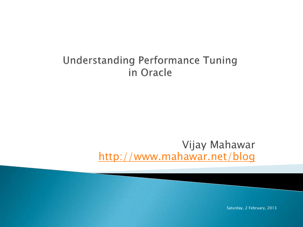### Understanding Performance Tuning in Oracle

### Vijay Mahawar [http://www.mahawar.net/blog](https://whizdba.wordpress.com/)

Saturday, 2 February, 2013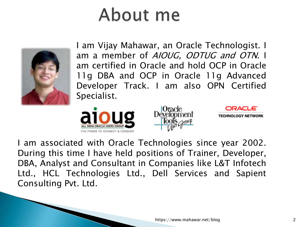## About me



I am Vijay Mahawar, an Oracle Technologist. I am a member of AIOUG, ODTUG and OTN. I am certified in Oracle and hold OCP in Oracle 11g DBA and OCP in Oracle 11g Advanced Developer Track. I am also OPN Certified Specialist.







I am associated with Oracle Technologies since year 2002. During this time I have held positions of Trainer, Developer, DBA, Analyst and Consultant in Companies like L&T Infotech Ltd., HCL Technologies Ltd., Dell Services and Sapient Consulting Pvt. Ltd.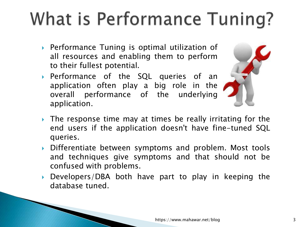# What is Performance Tuning?

- ▶ Performance Tuning is optimal utilization of all resources and enabling them to perform to their fullest potential.
- Performance of the SQL queries of an application often play a big role in the overall performance of the underlying application.



- $\triangleright$  The response time may at times be really irritating for the end users if the application doesn't have fine-tuned SQL queries.
- Differentiate between symptoms and problem. Most tools and techniques give symptoms and that should not be confused with problems.
- Developers/DBA both have part to play in keeping the database tuned.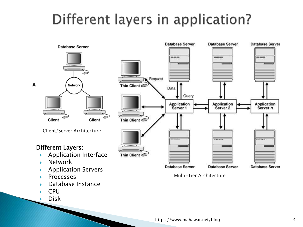### Different layers in application?



Disk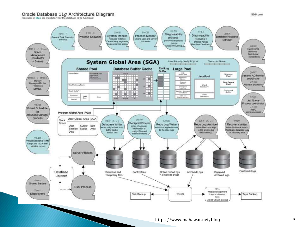#### Oracle Database 11g Architecture Diagram

Processes in blue are mandatory for the database to be functional

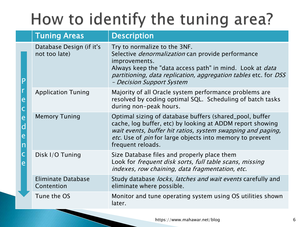### How to identify the tuning area?

|                  | <b>Tuning Areas</b>                       | <b>Description</b>                                                                                                                                                                                                                                                           |
|------------------|-------------------------------------------|------------------------------------------------------------------------------------------------------------------------------------------------------------------------------------------------------------------------------------------------------------------------------|
|                  | Database Design (if it's<br>not too late) | Try to normalize to the 3NF.<br>Selective <i>denormalization</i> can provide performance<br>improvements.<br>Always keep the "data access path" in mind. Look at <i>data</i><br>partitioning, data replication, aggregation tables etc. for DSS<br>- Decision Support System |
| e                | <b>Application Tuning</b>                 | Majority of all Oracle system performance problems are<br>resolved by coding optimal SQL. Scheduling of batch tasks<br>during non-peak hours.                                                                                                                                |
| ë<br>d<br>e<br>n | <b>Memory Tuning</b>                      | Optimal sizing of database buffers (shared_pool, buffer<br>cache, log buffer, etc) by looking at ADDM report showing<br>wait events, buffer hit ratios, system swapping and paging,<br>etc. Use of <i>pin</i> for large objects into memory to prevent<br>frequent reloads.  |
| Ć<br>è           | Disk I/O Tuning                           | Size Database files and properly place them<br>Look for frequent disk sorts, full table scans, missing<br>indexes, row chaining, data fragmentation, etc.                                                                                                                    |
|                  | <b>Eliminate Database</b><br>Contention   | Study database <i>locks, latches and wait events</i> carefully and<br>eliminate where possible.                                                                                                                                                                              |
|                  | Tune the OS                               | Monitor and tune operating system using OS utilities shown<br>later.                                                                                                                                                                                                         |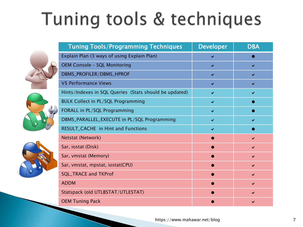# Tuning tools & techniques







| <b>Tuning Tools/Programming Techniques</b>             | <b>Developer</b> | <b>DBA</b> |
|--------------------------------------------------------|------------------|------------|
| Explain Plan (3 ways of using Explain Plan)            |                  |            |
| <b>OEM Console - SQL Monitoring</b>                    | ✔                |            |
| DBMS_PROFILER/DBMS_HPROF                               | ✔                | ✔          |
| V\$ Performance Views                                  | ✔                | ✔          |
| Hints/Indexes in SQL Queries (Stats should be updated) | ✔                |            |
| <b>BULK Collect in PL/SQL Programming</b>              | ✔                |            |
| FORALL in PL/SQL Programming                           | ✔                |            |
| DBMS_PARALLEL_EXECUTE in PL/SQL Programming            | ✓                |            |
| RESULT_CACHE in Hint and Functions                     | ✔                |            |
| Netstat (Network)                                      |                  |            |
| Sar, iostat (Disk)                                     |                  | ✔          |
| Sar, vmstat (Memory)                                   |                  | ✔          |
| Sar, vmstat, mpstat, iostat(CPU)                       |                  | ✔          |
| <b>SQL_TRACE and TKProf</b>                            |                  | ✔          |
| <b>ADDM</b>                                            |                  | ✔          |
| Statspack (old UTLBSTAT/UTLESTAT)                      |                  |            |
| <b>OEM Tuning Pack</b>                                 |                  |            |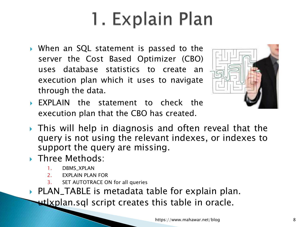# 1. Explain Plan

 When an SQL statement is passed to the server the Cost Based Optimizer (CBO) uses database statistics to create an execution plan which it uses to navigate through the data.



- EXPLAIN the statement to check the execution plan that the CBO has created.
- This will help in diagnosis and often reveal that the query is not using the relevant indexes, or indexes to support the query are missing.
- ▶ Three Methods:
	- 1. DBMS\_XPLAN
	- 2. EXPLAIN PLAN FOR
	- 3. SET AUTOTRACE ON for all queries

▶ PLAN\_TABLE is metadata table for explain plan. utlxplan.sql script creates this table in oracle.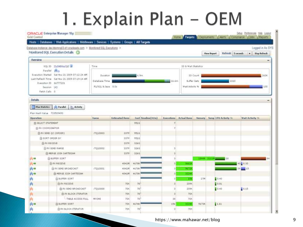## 1. Explain Plan - OEM

|                                                                                                                                                                                    | Hosts   Databases   Web Applications   Middleware   Services   Systems   Groups   All Targets |                |                                       |                      |            |                      |       |              |                             |                                               |
|------------------------------------------------------------------------------------------------------------------------------------------------------------------------------------|-----------------------------------------------------------------------------------------------|----------------|---------------------------------------|----------------------|------------|----------------------|-------|--------------|-----------------------------|-----------------------------------------------|
|                                                                                                                                                                                    | Database Instance; devidsmng03-d1.oracleads.com > Monitored SQL Executions >                  |                |                                       |                      |            |                      |       |              |                             | Logged in As SYS                              |
|                                                                                                                                                                                    | Monitored SQL Execution Details                                                               |                |                                       |                      |            |                      |       | View Report  |                             | Refresh 5 monds<br><b>Dep Refresh</b><br>Det. |
| <b>Overview</b>                                                                                                                                                                    |                                                                                               |                |                                       |                      |            |                      |       |              |                             |                                               |
| 8QL 10 33-548 hs/lp5 (A)<br>Parallel phy<br>Evecution Started Eat Nov 21 2009 07:12:24 AM<br>Last Refresh Time 3at Nev 21 2009 07:19:14 AM<br>Execution ID 16777221<br>Session 143 |                                                                                               | Time           |                                       |                      |            | IO & Walt Statistics |       |              |                             |                                               |
|                                                                                                                                                                                    |                                                                                               |                |                                       |                      |            |                      |       |              |                             |                                               |
|                                                                                                                                                                                    |                                                                                               | Duration.      |                                       | 6.9m                 |            | 10 Count             |       |              |                             | 2608                                          |
|                                                                                                                                                                                    |                                                                                               |                | Database Time<br>16-6m<br>buffer Gets |                      |            |                      |       | 2210         |                             |                                               |
|                                                                                                                                                                                    |                                                                                               |                | PLFDQC & Java 0.03<br>Wait Attivity % |                      |            |                      |       | 100          |                             |                                               |
|                                                                                                                                                                                    | Fatch Calls 0                                                                                 |                |                                       |                      |            |                      |       |              |                             |                                               |
| <b>Details</b>                                                                                                                                                                     |                                                                                               |                |                                       |                      |            |                      |       |              |                             |                                               |
|                                                                                                                                                                                    |                                                                                               |                |                                       |                      |            |                      |       |              |                             |                                               |
| Plan Mallistics                                                                                                                                                                    | the Parallel<br>Activity                                                                      |                |                                       |                      |            |                      |       |              |                             |                                               |
|                                                                                                                                                                                    | Plan Hash Value 703509493                                                                     |                |                                       |                      |            |                      |       |              |                             |                                               |
|                                                                                                                                                                                    |                                                                                               | Name           | <b>Estimated Rows</b>                 | Cost Timeline (411a) | Executions | <b>Actual Rows</b>   |       |              | Hemory Leng CPU Activity in | Wait Activity. Ill.                           |
|                                                                                                                                                                                    |                                                                                               |                |                                       |                      |            |                      |       |              |                             |                                               |
|                                                                                                                                                                                    | ELECT STATEMENT                                                                               |                |                                       | 9510                 |            |                      |       |              |                             |                                               |
|                                                                                                                                                                                    | FI PX COORDINATOR                                                                             |                |                                       |                      |            |                      |       |              |                             |                                               |
|                                                                                                                                                                                    | E PX SEND. QC (ORDER)                                                                         | <b>TQ10003</b> | 337P                                  | 9510                 |            |                      |       |              |                             |                                               |
|                                                                                                                                                                                    | EB SORT ORDER BY                                                                              |                | 3377                                  | 9510                 |            |                      |       |              |                             |                                               |
|                                                                                                                                                                                    | <b>ELEX RECEIVE</b>                                                                           |                | 337P                                  | 3266                 |            |                      |       |              |                             |                                               |
|                                                                                                                                                                                    | ELPX SEND RANGE                                                                               | 17010002       | 337P                                  | 3260                 |            |                      |       |              |                             |                                               |
|                                                                                                                                                                                    | :E MERGE JOIN CARTESIAN                                                                       |                | 227P                                  | 3260                 |            |                      |       |              |                             |                                               |
|                                                                                                                                                                                    | E) BUFFER SORT                                                                                |                |                                       |                      |            |                      |       | 19444 211196 | $-18$                       |                                               |
| <b>IS</b>                                                                                                                                                                          | E PX RECEIVE                                                                                  |                | 4841M                                 | 46788                |            | 3662                 |       |              |                             | 40 8 0.30                                     |
|                                                                                                                                                                                    | E PK SEND BROADCAST                                                                           | T010001        | 4841M                                 | 46788                |            | 96723                |       |              |                             | $-115$                                        |
|                                                                                                                                                                                    | ELMERGE JOIN CARTESEAN                                                                        |                | 4041M                                 | 4678K                |            | 32243                |       |              |                             |                                               |
|                                                                                                                                                                                    | <b>CLEUPTER SORT</b>                                                                          |                |                                       |                      |            | 154                  | 22M   |              | 0.40                        |                                               |
|                                                                                                                                                                                    | <b>B-PX NECEIVE</b>                                                                           |                | 20<                                   | 79                   |            | 209K                 |       |              | 0.01                        |                                               |
| <b>Dperation</b><br>肉味<br>内中                                                                                                                                                       | E PX SEND BROADCAST                                                                           | TQ10000        | 70K                                   | 70                   |            | 2098.                |       |              | 0.40                        | 0.15                                          |
|                                                                                                                                                                                    | E PK BLOCK ITERATOR                                                                           |                | <b>70K</b>                            | 79                   | ä          | TOK.                 |       |              |                             |                                               |
|                                                                                                                                                                                    | TABLE ACCESS FULL                                                                             | MYONE          | 70K                                   | 78                   | 38         | 708                  |       |              |                             |                                               |
| 向马                                                                                                                                                                                 | <b>FO BUFFER SOAT</b>                                                                         |                | 2000                                  | 46766                | 156        | 22248                | 91736 |              | 1.61                        |                                               |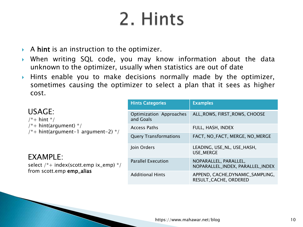### 2. Hints

- $\triangleright$  A hint is an instruction to the optimizer.
- When writing SQL code, you may know information about the data unknown to the optimizer, usually when statistics are out of date
- Hints enable you to make decisions normally made by the optimizer, sometimes causing the optimizer to select a plan that it sees as higher cost.

|                                                                      | <b>Hints Categories</b>              | <b>Examples</b>                                           |
|----------------------------------------------------------------------|--------------------------------------|-----------------------------------------------------------|
| USAGE:<br>$/* + hint */$                                             | Optimization Approaches<br>and Goals | ALL_ROWS, FIRST_ROWS, CHOOSE                              |
| $/*+$ hint(argument) $*/$<br>$/* +$ hint(argument-1 argument-2) $*/$ | <b>Access Paths</b>                  | FULL, HASH, INDEX                                         |
|                                                                      | <b>Query Transformations</b>         | FACT, NO_FACT, MERGE, NO_MERGE                            |
| EXAMPLE:                                                             | Join Orders                          | LEADING, USE_NL, USE_HASH,<br>USE_MERGE                   |
| select /*+ index(scott.emp ix_emp) */<br>from scott.emp emp_alias    | <b>Parallel Execution</b>            | NOPARALLEL, PARALLEL,<br>NOPARALLEL_INDEX, PARALLEL_INDEX |
|                                                                      | <b>Additional Hints</b>              | APPEND, CACHE, DYNAMIC_SAMPLING,<br>RESULT_CACHE, ORDERED |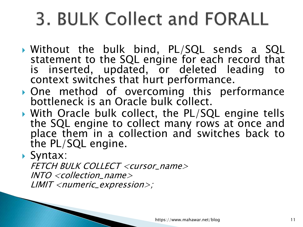# 3. BULK Collect and FORALL

- Without the bulk bind, PL/SQL sends a SQL statement to the SQL engine for each record that is inserted, updated, or deleted leading to context switches that hurt performance.
- One method of overcoming this performance bottleneck is an Oracle bulk collect.
- ▶ With Oracle bulk collect, the PL/SQL engine tells the SQL engine to collect many rows at once and place them in a collection and switches back to the PL/SQL engine.

### Syntax:

FETCH BULK COLLECT <cursor\_name> INTO <collection\_name> LIMIT <numeric\_expression>;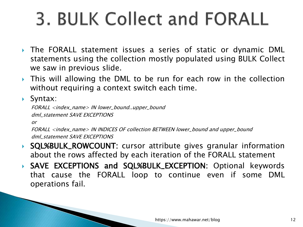# 3. BULK Collect and FORALL

- ▶ The FORALL statement issues a series of static or dynamic DML statements using the collection mostly populated using BULK Collect we saw in previous slide.
- **This will allowing the DML to be run for each row in the collection** without requiring a context switch each time.
- ▶ Syntax:

FORALL <index\_name> IN lower\_bound..upper\_bound dml\_statement SAVE EXCEPTIONS

or

FORALL <index\_name> IN INDICES OF collection BETWEEN lower\_bound and upper\_bound dml\_statement SAVE EXCEPTIONS

- ▶ SQL%BULK\_ROWCOUNT: cursor attribute gives granular information about the rows affected by each iteration of the FORALL statement
- SAVE EXCEPTIONS and SQL%BULK\_EXCEPTION: Optional keywords that cause the FORALL loop to continue even if some DML operations fail.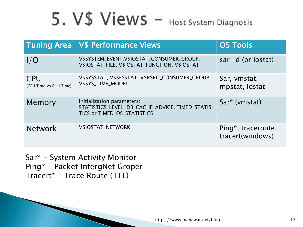## 5. V\$ Views - Host System Diagnosis

| <b>Tuning Area</b>                    | <b>VS Performance Views</b>                                                                                  | <b>OS Tools</b>                        |
|---------------------------------------|--------------------------------------------------------------------------------------------------------------|----------------------------------------|
| 1/O                                   | V\$SYSTEM_EVENT, V\$IOSTAT_CONSUMER_GROUP,<br>V\$IOSTAT_FILE, V\$IOSTAT_FUNCTION, V\$IOSTAT                  | sar $-d$ (or iostat)                   |
| <b>CPU</b><br>(CPU Time Vs Real Time) | V\$SYSSTAT, V\$SESSTAT, V\$RSRC_CONSUMER_GROUP,<br>V\$SYS_TIME_MODEL                                         | Sar, vmstat,<br>mpstat, iostat         |
| Memory                                | Initialization parameters:<br>STATISTICS_LEVEL, DB_CACHE_ADVICE, TIMED_STATIS<br>TICS or TIMED_OS_STATISTICS | Sar* (vmstat)                          |
| <b>Network</b>                        | V\$IOSTAT_NETWORK                                                                                            | Ping*, traceroute,<br>tracert(windows) |

Sar\* - System Activity Monitor Ping\* - Packet IntergNet Groper Tracert\* – Trace Route (TTL)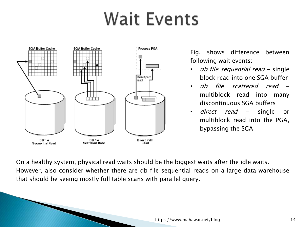### Wait Events



Fig. shows difference between following wait events:

- *db file sequential read* single block read into one SGA buffer
- db file scattered read multiblock read into many discontinuous SGA buffers
- *direct read* single or multiblock read into the PGA, bypassing the SGA

On a healthy system, physical read waits should be the biggest waits after the idle waits. However, also consider whether there are db file sequential reads on a large data warehouse that should be seeing mostly full table scans with parallel query.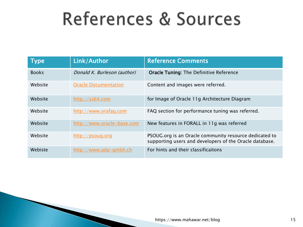## References & Sources

| $\mathsf{Type}_1$ | Link/Author                 | <b>Reference Comments</b>                                                                                         |
|-------------------|-----------------------------|-------------------------------------------------------------------------------------------------------------------|
| <b>Books</b>      | Donald K. Burleson (author) | <b>Oracle Tuning: The Definitive Reference</b>                                                                    |
| Website           | <b>Oracle Documentation</b> | Content and images were referred.                                                                                 |
| Website           | http://ss64.com             | for Image of Oracle 11g Architecture Diagram                                                                      |
| Website           | http://www.orafaq.com       | FAQ section for performance tuning was referred.                                                                  |
| Website           | http://www.oracle-base.com  | New features in FORALL in 11g was referred                                                                        |
| Website           | http://psoug.org            | PSOUG.org is an Oracle community resource dedicated to<br>supporting users and developers of the Oracle database. |
| Webiste           | http://www.adp-gmbh.ch      | For hints and their classificaitons                                                                               |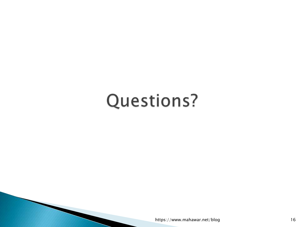### Questions?